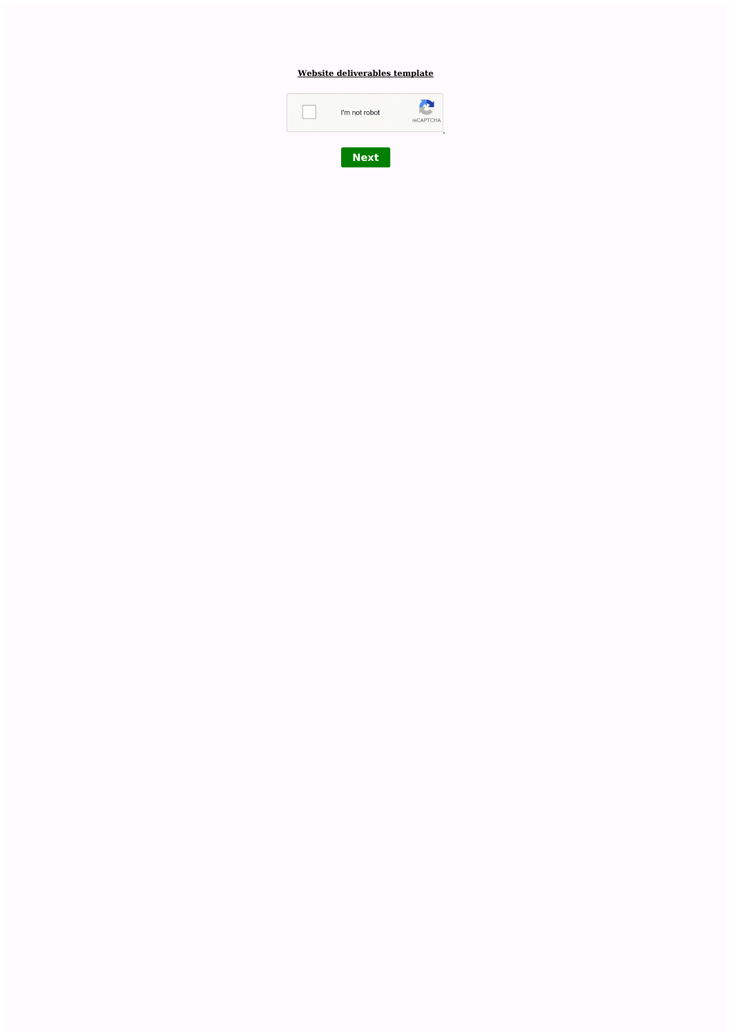## **Website [deliverables](http://feedproxy.google.com/~r/MbOu/~3/BGAemAmcdTc/uplcv?utm_term=website+deliverables+template) template**

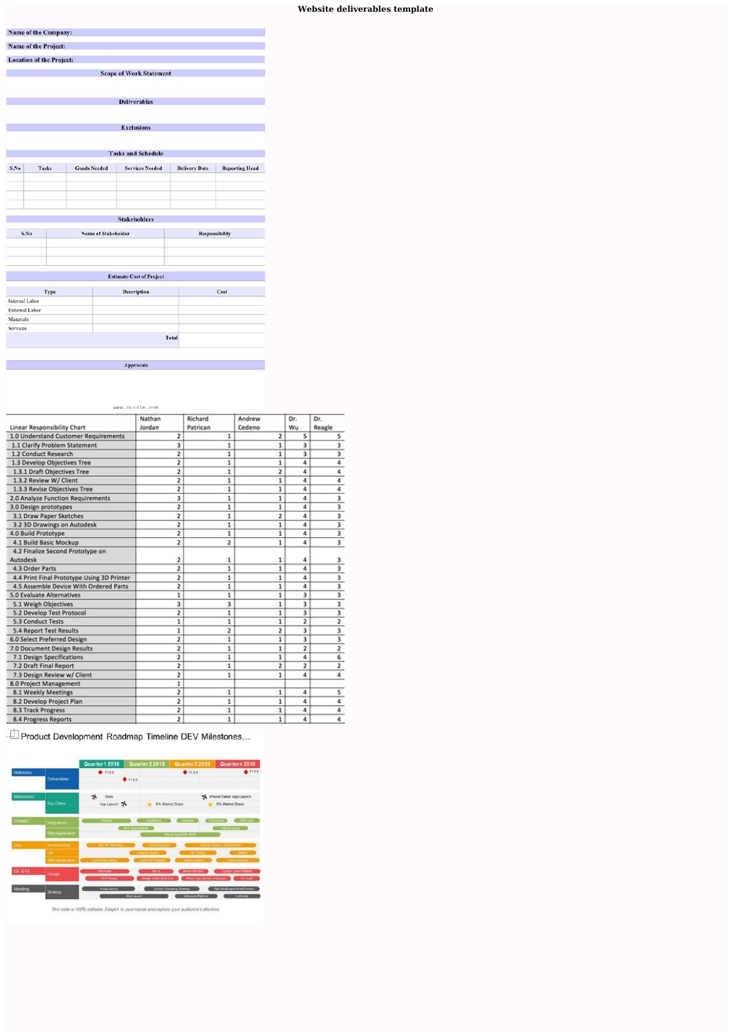## Website deliverables template

| Name of the Project:            |             |                            |                                 |                       |                       |
|---------------------------------|-------------|----------------------------|---------------------------------|-----------------------|-----------------------|
| <b>Location of the Project:</b> |             |                            |                                 |                       |                       |
|                                 |             |                            | <b>Scope of Work Statement</b>  |                       |                       |
|                                 |             |                            |                                 |                       |                       |
|                                 |             |                            | <b>Deliverables</b>             |                       |                       |
|                                 |             |                            |                                 |                       |                       |
|                                 |             |                            | <b>Exclusions</b>               |                       |                       |
|                                 |             |                            |                                 |                       |                       |
|                                 |             |                            | <b>Tasks and Schedule</b>       |                       |                       |
| S.No                            | Tasks       | <b>Goods Needed</b>        | <b>Services Needed</b>          | <b>Delivery Date</b>  | <b>Reporting Head</b> |
|                                 |             |                            |                                 |                       |                       |
|                                 |             |                            |                                 |                       |                       |
|                                 |             |                            | <b>Stakeholders</b>             |                       |                       |
| S.No                            |             | <b>Name of Stakeholder</b> |                                 | <b>Responsibility</b> |                       |
|                                 |             |                            |                                 |                       |                       |
|                                 |             |                            | <b>Estimate Cost of Project</b> |                       |                       |
|                                 |             |                            |                                 |                       |                       |
|                                 | <b>Type</b> |                            | <b>Description</b>              |                       | Cost                  |
| Internal Labor                  |             |                            |                                 |                       |                       |
| External Labor<br>Materials     |             |                            |                                 |                       |                       |
|                                 |             |                            |                                 |                       |                       |

Approvals

www.buzzle.com

|                                            | Nathan         | Richard  | Andrew | Dr.                     | Dr.          |
|--------------------------------------------|----------------|----------|--------|-------------------------|--------------|
| Linear Responsibility Chart                | Jordan         | Patrican | Cedeno | Wu                      | Reagle       |
| 1.0 Understand Customer Requirements       | 2              | 1        | 2      | 5                       | S.           |
| 1.1 Clarify Problem Statement              | 3              | 1        | 1      | 3,                      | 3,           |
| 1.2 Conduct Research                       | $\mathbf{2}$   | 1        | 1      | з                       | 3.           |
| 1.3 Develop Objectives Tree                | 2              | 1        | 1      | 4                       | 4            |
| 1.3.1 Draft Objectives Tree                | 2              | 1        | 2      | 4                       | 4            |
| 1.3.2 Review W/ Client                     | 2              | 1        | 1      | 4                       | 4            |
| 1.3.3 Revise Objectives Tree               | 2              | 1        | 1      | 4                       | 4            |
| 2.0 Analyze Function Requirements          | 3              | 1        | 1      | 4                       | 3            |
| 3.0 Design prototypes                      | $\overline{z}$ | 1        | 1      | 4                       | 3.           |
| 3.1 Draw Paper Sketches                    | 2              | 1        | 2      | 4                       | 3            |
| 3.2 3D Drawings on Autodesk                | 2.             | 1        | 1      | 4                       | 3            |
| 4.0 Build Prototype                        | 2              | 1        | 1      | 4                       | 3            |
| 4.1 Build Basic Mockup                     | z              | 2        | 1      | 4                       | 3            |
| 4.2 Finalize Second Prototype on           |                |          |        |                         |              |
| Autodesk                                   | 2              | 1        | 1      | 4                       |              |
| 4.3 Order Parts                            |                | 1        | 1      | 4                       | 3            |
| 4.4 Print Final Prototype Using 3D Printer | 2              | 1        | 1      | 4                       | 3            |
| 4.5 Assemble Device With Ordered Parts     | 2              | 1        | 1      | 4                       | 3            |
| 5.0 Evaluate Alternatives                  |                | 1        | 1      | 3.                      | 3            |
| 5.1 Weigh Objectives                       | 3              | 3        | 1      | з                       | 3.           |
| 5.2 Develop Test Protocol                  | 2              |          | 1      | 3.                      | 3            |
| 5.3 Conduct Tests                          | 1              | 1        | 1      | $\overline{\mathbf{z}}$ | $\bar{z}$    |
| 5.4 Report Test Results                    |                | 2,       | Ż.     | 3.                      | 3.           |
| 6.0 Select Preferred Design                | z              | 1        | 1      | 3.                      | 3.           |
| 7.0 Document Design Results                | 2              | 1        | 1      | 2                       | $\mathbf{z}$ |
| 7.1 Design Specifications                  | 2              | 1        | 1      | 4                       | 6.           |
| 7.2 Draft Final Report                     | ż              | 1        | z      | z                       | 2.           |
| 7.3 Design Review w/ Client                | 2              | 1        | 1      | 4                       |              |
| 8.0 Project Management                     |                |          |        |                         |              |
| 8.1 Weekly Meetings                        | 2              | 1        | 1      | 4                       | 5.           |
| 8.2 Develop Project Plan                   | 2              | 1        | 1      | 4                       |              |
| 8.3 Track Progress                         | $\mathbf{z}$   | 1        | 1      | 4                       | 4            |
| 8.4 Progress Reports                       | $\bar{z}$      | ٦.       | Ť.     | 4.                      |              |

 $\Box$  Product Development Roadmap Timeline DEV Milestones...

|          |                   |                                                       | Quarter 1 2018 Quarter 2 2018 Quarter 3 2018 |         | Quarter 4 2018 |
|----------|-------------------|-------------------------------------------------------|----------------------------------------------|---------|----------------|
| Releases |                   | <b>bory</b>                                           |                                              | $+1145$ |                |
|          | <b>Article 19</b> | the control of the control of the control of the con- | V10.0                                        |         |                |

| Milestones       |                       | 书<br><b>Beta</b>                         |                                                                               | A Phone/Tablet App Launch                                                                               |
|------------------|-----------------------|------------------------------------------|-------------------------------------------------------------------------------|---------------------------------------------------------------------------------------------------------|
|                  | <b>Key Dates</b>      | App Launch 2                             | 8% Market Share                                                               | 5% Market Share                                                                                         |
| Produtt          | <b>Integrations</b>   | <b>Ratio</b>                             | Cardumice<br><b><i>Structure</i></b>                                          | <b><i><u>Auctionen</u></i></b><br><b>TRAPACINES</b>                                                     |
|                  | Web Application       | <b>MyP Bagainment</b>                    | Plane App/In/Pi-M/SS                                                          | <b>Findure Scope</b>                                                                                    |
| Dev              | Infrastructure        | 50.00 Dreams                             | <b>Abaybea Leg</b>                                                            | - Lingrade Synthes Pergusterneries                                                                      |
|                  | ۵A<br>Web Application | <b>Charles have been</b>                 | <b><i>Narwood Tentre</i></b><br><b>Detroit Eng Pro</b><br><b>There</b> is the | <b>THE TANKIN</b><br><b>Adam Rental</b>                                                                 |
| <b>UX&amp;UL</b> | <b>Design</b>         | Weekend<br><b>SEVA Dange</b>             | find on<br><b>Cesar Admin Back End</b>                                        | Custom Colour Palettins<br><b>Butter Ste RAV</b><br><b>IFfiche App Discus weekwee</b><br><b>Barbara</b> |
| Meeting          | Student               | <b>President Laurence</b><br>flog Leanch | Contact Illacturing Strategy                                                  | Pud thedia approximated Content<br>Autoración<br>influenciar Parterns                                   |

This slide is 100% editable. Adapt it to your needs and capture your audience's attention.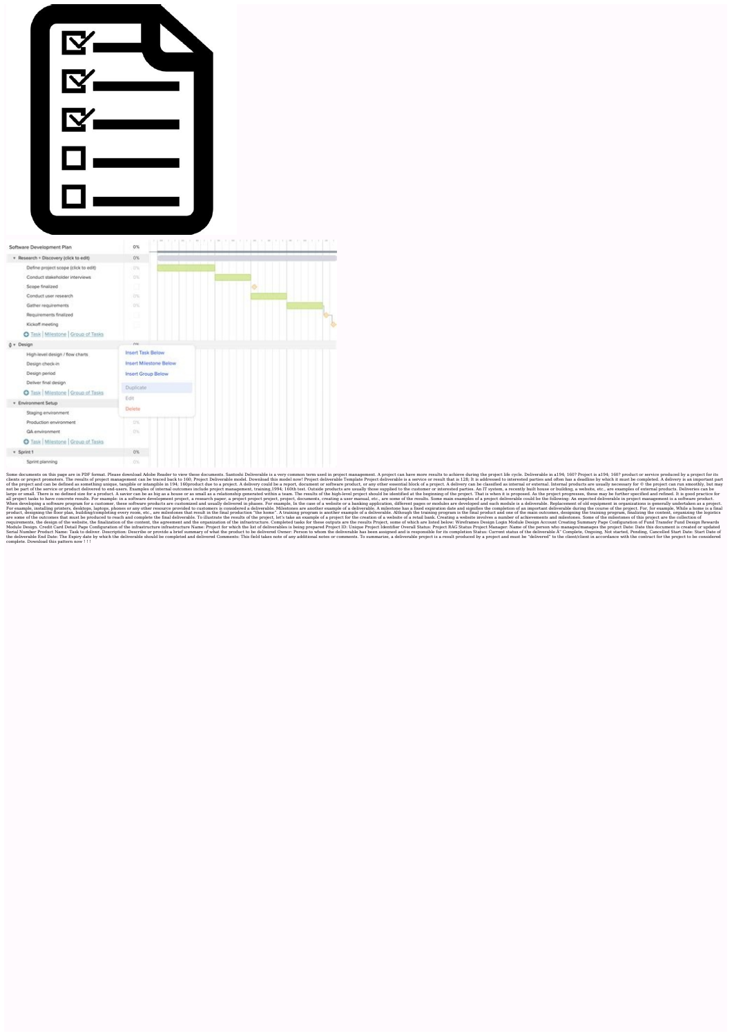| $\mathbf{K}$ and          |  |
|---------------------------|--|
| $\mathbf{K}$              |  |
| $\mathbf{N}_{\text{max}}$ |  |
| $\Box$                    |  |
| $\square$ and $\square$   |  |
|                           |  |

| Software Development Plan              | $0\%$                     |  |  |
|----------------------------------------|---------------------------|--|--|
| · Research · Discovery (click to edit) | D%                        |  |  |
| Define project scope (click to edit)   | <b>COL</b>                |  |  |
| Conduct stakeholder interviews         | òк                        |  |  |
| Scope finalized                        | σ                         |  |  |
| Conduct user research                  | ò.                        |  |  |
| Gather requirements                    | <b>ON</b>                 |  |  |
| Requirements finalized                 | Œ                         |  |  |
| Kickoff meeting                        | المناول                   |  |  |
| O Task   Milestone   Group of Tasks    |                           |  |  |
| @ + Design                             | $\rho_{\rm{NN}}$          |  |  |
| High-level design / flow charts        | Insert Task Below         |  |  |
| Design check-in                        | Insert Milestone Below    |  |  |
| Design period                          | <b>Insert Group Below</b> |  |  |

Deliver final design

| Edit |        |
|------|--------|
|      |        |
| DV.  |        |
| O's  |        |
|      |        |
| os.  |        |
| ÓЪ,  |        |
|      | Delete |

Duplicate

Some documents on this page are in PDF format. Please download Adobe Reader to view these documents. Santoshi Deliverable is a very common term used in project can have more results to achieve during the project life cycle of the project and can be defined as something unique, tangible or intangible in 194; 160product due to a project. A delivery could be a report, document or software product, or any other essential block of a project. A de not be part of the service or product delivered to end-users. Examples of internal outcomes include project management, training,1994; 160th test. Outside products are usually those supplied to the customer or interested p all project tasks to have concrete results. For example: in a software development project, a research paper, a project project project, project project, a creating a user manual, etc., are some of the results. Some main e When developing a software program for a customer, these software products are customized and usually delivered in phases. For example, In the case of a website or a banking application, different pages or modules are deve product, designing the floor plan, building/completing every room, etc., are milestones that result in the final production "the home". A training program is another example of a deliverable. Although the training product are some of the outcomes that must be produced to reach and complete the final deliverable. To illustrate the results of the project, let's take an example of a project for the creation of a website of a retail bank. Creat requirements, the design of the website, the finalization of the content, the agreement and the organization of the infrastructure. Completed tasks for these outputs are the results Project, some of which are listed below: Module Design. Credit Card Detail Page Configuration of the infrastructure infrastructure infrastructure infrastructure Name: Project for which the list of deliverables is being prepared Project ID: Unique Project IAC Stat Serial Number Product Name: Task to deliver. Description: Description: Description: Describe or provide a brief summary of what the product to be delivered Owner: Person to whom the deliverable has been assigned and is res the deliverable End Date: The Expiry date by which the deliverable should be completed and delivered Comments: This field takes note of any additional notes or comments. To summarize, a deliverable project is a result prod complete. Download this pattern now !!!